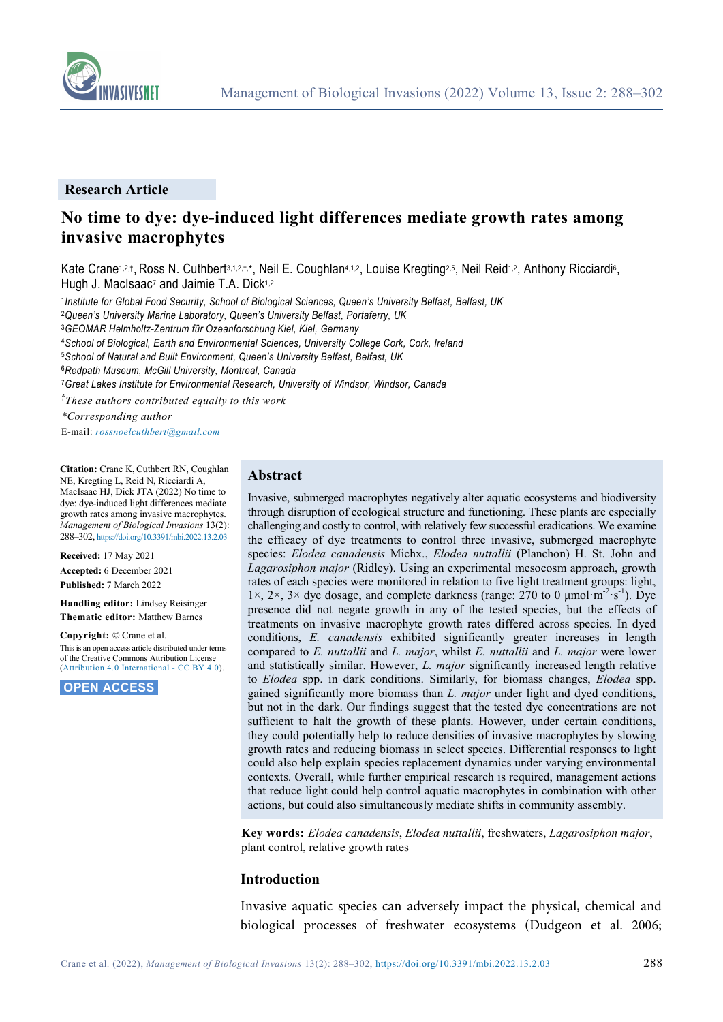

#### **Research Article**

# **No time to dye: dye-induced light differences mediate growth rates among invasive macrophytes**

Kate Crane<sup>1,2,†</sup>, Ross N. Cuthbert<sup>3,1,2,†,\*</sup>, Neil E. Coughlan<sup>4,1,2</sup>, Louise Kregting<sup>2,5</sup>, Neil Reid<sup>1,2</sup>, Anthony Ricciardi<sup>6</sup>, Hugh J. MacIsaac<sup>7</sup> and Jaimie T.A. Dick<sup>1,2</sup>

<sup>1</sup>*Institute for Global Food Security, School of Biological Sciences, Queen's University Belfast, Belfast, UK*

<sup>2</sup>*Queen's University Marine Laboratory, Queen's University Belfast, Portaferry, UK* 

<sup>3</sup>*GEOMAR Helmholtz-Zentrum für Ozeanforschung Kiel, Kiel, Germany*

<sup>4</sup>*School of Biological, Earth and Environmental Sciences, University College Cork, Cork, Ireland*

<sup>5</sup>*School of Natural and Built Environment, Queen's University Belfast, Belfast, UK*

<sup>6</sup>*Redpath Museum, McGill University, Montreal, Canada*

<sup>7</sup>*Great Lakes Institute for Environmental Research, University of Windsor, Windsor, Canada*

*† These authors contributed equally to this work*

*\*Corresponding author*

E-mail: *[rossnoelcuthbert@gmail.com](mailto:rossnoelcuthbert@gmail.com)*

**Citation:** Crane K, Cuthbert RN, Coughlan NE, Kregting L, Reid N, Ricciardi A, MacIsaac HJ, Dick JTA (2022) No time to dye: dye-induced light differences mediate growth rates among invasive macrophytes. *Management of Biological Invasions* 13(2): 288–302, <https://doi.org/10.3391/mbi.2022.13.2.03>

**Received:** 17 May 2021

**Accepted:** 6 December 2021 **Published:** 7 March 2022

**Handling editor:** Lindsey Reisinger **Thematic editor:** Matthew Barnes

**Copyright:** © Crane et al. This is an open access article distributed under terms of the Creative Commons Attribution License [\(Attribution 4.0 International -](https://creativecommons.org/licenses/by/4.0/) CC BY 4.0).

**OPEN ACCESS.**

### **Abstract**

Invasive, submerged macrophytes negatively alter aquatic ecosystems and biodiversity through disruption of ecological structure and functioning. These plants are especially challenging and costly to control, with relatively few successful eradications. We examine the efficacy of dye treatments to control three invasive, submerged macrophyte species: *Elodea canadensis* Michx., *Elodea nuttallii* (Planchon) H. St. John and *Lagarosiphon major* (Ridley). Using an experimental mesocosm approach, growth rates of each species were monitored in relation to five light treatment groups: light,  $1 \times$ ,  $2 \times$ ,  $3 \times$  dye dosage, and complete darkness (range: 270 to 0 µmol·m<sup>-2</sup>·s<sup>-1</sup>). Dye presence did not negate growth in any of the tested species, but the effects of treatments on invasive macrophyte growth rates differed across species. In dyed conditions, *E. canadensis* exhibited significantly greater increases in length compared to *E. nuttallii* and *L. major*, whilst *E. nuttallii* and *L. major* were lower and statistically similar. However, *L. major* significantly increased length relative to *Elodea* spp. in dark conditions. Similarly, for biomass changes, *Elodea* spp. gained significantly more biomass than *L. major* under light and dyed conditions, but not in the dark. Our findings suggest that the tested dye concentrations are not sufficient to halt the growth of these plants. However, under certain conditions, they could potentially help to reduce densities of invasive macrophytes by slowing growth rates and reducing biomass in select species. Differential responses to light could also help explain species replacement dynamics under varying environmental contexts. Overall, while further empirical research is required, management actions that reduce light could help control aquatic macrophytes in combination with other actions, but could also simultaneously mediate shifts in community assembly.

**Key words:** *Elodea canadensis*, *Elodea nuttallii*, freshwaters, *Lagarosiphon major*, plant control, relative growth rates

#### **Introduction**

Invasive aquatic species can adversely impact the physical, chemical and biological processes of freshwater ecosystems (Dudgeon et al. 2006;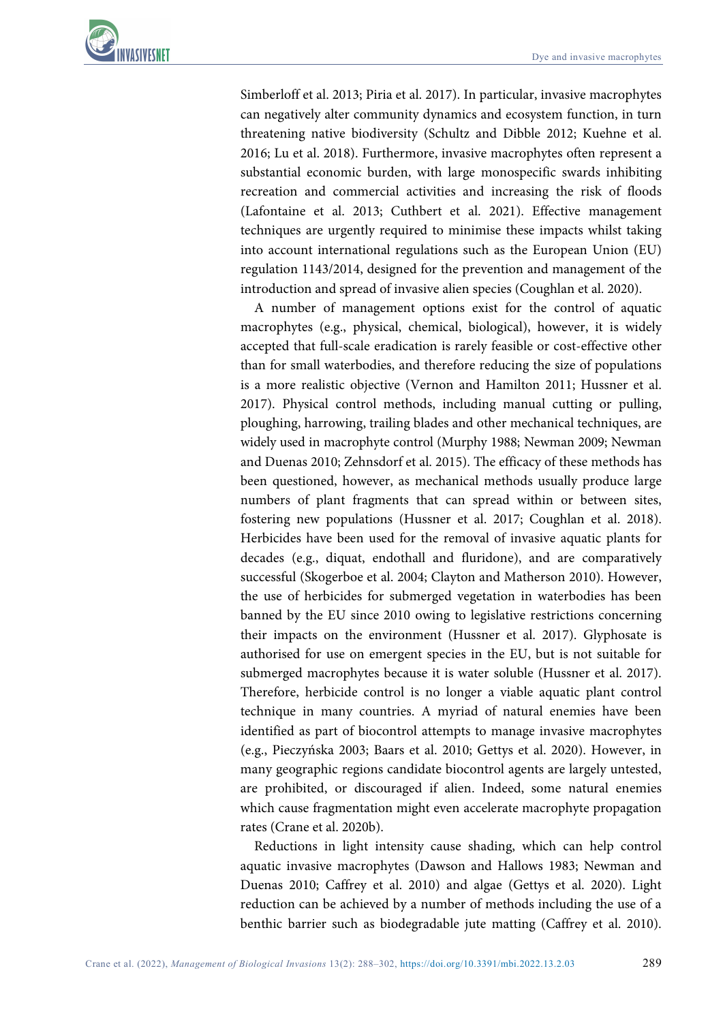

Simberloff et al. 2013; Piria et al. 2017). In particular, invasive macrophytes can negatively alter community dynamics and ecosystem function, in turn threatening native biodiversity (Schultz and Dibble 2012; Kuehne et al. 2016; Lu et al. 2018). Furthermore, invasive macrophytes often represent a substantial economic burden, with large monospecific swards inhibiting recreation and commercial activities and increasing the risk of floods (Lafontaine et al. 2013; Cuthbert et al. 2021). Effective management techniques are urgently required to minimise these impacts whilst taking into account international regulations such as the European Union (EU) regulation 1143/2014, designed for the prevention and management of the introduction and spread of invasive alien species (Coughlan et al. 2020).

A number of management options exist for the control of aquatic macrophytes (e.g., physical, chemical, biological), however, it is widely accepted that full-scale eradication is rarely feasible or cost-effective other than for small waterbodies, and therefore reducing the size of populations is a more realistic objective (Vernon and Hamilton 2011; Hussner et al. 2017). Physical control methods, including manual cutting or pulling, ploughing, harrowing, trailing blades and other mechanical techniques, are widely used in macrophyte control (Murphy 1988; Newman 2009; Newman and Duenas 2010; Zehnsdorf et al. 2015). The efficacy of these methods has been questioned, however, as mechanical methods usually produce large numbers of plant fragments that can spread within or between sites, fostering new populations (Hussner et al. 2017; Coughlan et al. 2018). Herbicides have been used for the removal of invasive aquatic plants for decades (e.g., diquat, endothall and fluridone), and are comparatively successful (Skogerboe et al. 2004; Clayton and Matherson 2010). However, the use of herbicides for submerged vegetation in waterbodies has been banned by the EU since 2010 owing to legislative restrictions concerning their impacts on the environment (Hussner et al. 2017). Glyphosate is authorised for use on emergent species in the EU, but is not suitable for submerged macrophytes because it is water soluble (Hussner et al. 2017). Therefore, herbicide control is no longer a viable aquatic plant control technique in many countries. A myriad of natural enemies have been identified as part of biocontrol attempts to manage invasive macrophytes (e.g., Pieczyńska 2003; Baars et al. 2010; Gettys et al. 2020). However, in many geographic regions candidate biocontrol agents are largely untested, are prohibited, or discouraged if alien. Indeed, some natural enemies which cause fragmentation might even accelerate macrophyte propagation rates (Crane et al. 2020b).

Reductions in light intensity cause shading, which can help control aquatic invasive macrophytes (Dawson and Hallows 1983; Newman and Duenas 2010; Caffrey et al. 2010) and algae (Gettys et al. 2020). Light reduction can be achieved by a number of methods including the use of a benthic barrier such as biodegradable jute matting (Caffrey et al. 2010).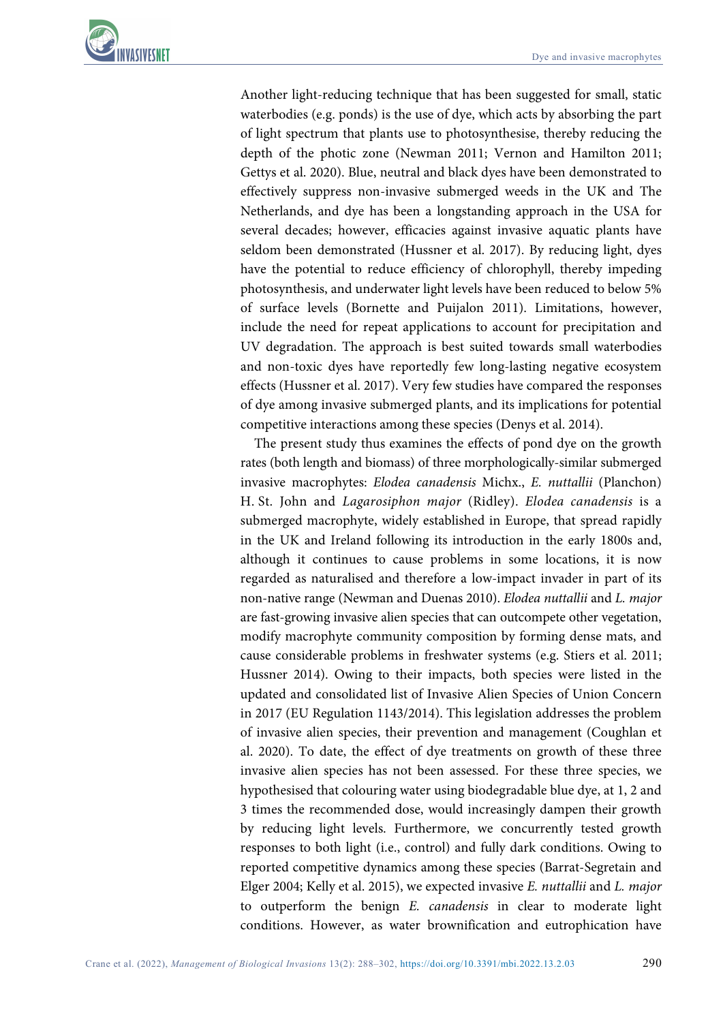

Another light-reducing technique that has been suggested for small, static waterbodies (e.g. ponds) is the use of dye, which acts by absorbing the part of light spectrum that plants use to photosynthesise, thereby reducing the depth of the photic zone (Newman 2011; Vernon and Hamilton 2011; Gettys et al. 2020). Blue, neutral and black dyes have been demonstrated to effectively suppress non-invasive submerged weeds in the UK and The Netherlands, and dye has been a longstanding approach in the USA for several decades; however, efficacies against invasive aquatic plants have seldom been demonstrated (Hussner et al. 2017). By reducing light, dyes have the potential to reduce efficiency of chlorophyll, thereby impeding photosynthesis, and underwater light levels have been reduced to below 5% of surface levels (Bornette and Puijalon 2011). Limitations, however, include the need for repeat applications to account for precipitation and UV degradation. The approach is best suited towards small waterbodies and non-toxic dyes have reportedly few long-lasting negative ecosystem effects (Hussner et al. 2017). Very few studies have compared the responses of dye among invasive submerged plants, and its implications for potential competitive interactions among these species (Denys et al. 2014).

The present study thus examines the effects of pond dye on the growth rates (both length and biomass) of three morphologically-similar submerged invasive macrophytes: *Elodea canadensis* Michx., *E. nuttallii* (Planchon) H. St. John and *Lagarosiphon major* (Ridley). *Elodea canadensis* is a submerged macrophyte, widely established in Europe, that spread rapidly in the UK and Ireland following its introduction in the early 1800s and, although it continues to cause problems in some locations, it is now regarded as naturalised and therefore a low-impact invader in part of its non-native range (Newman and Duenas 2010). *Elodea nuttallii* and *L. major* are fast-growing invasive alien species that can outcompete other vegetation, modify macrophyte community composition by forming dense mats, and cause considerable problems in freshwater systems (e.g. Stiers et al. 2011; Hussner 2014). Owing to their impacts, both species were listed in the updated and consolidated list of Invasive Alien Species of Union Concern in 2017 (EU Regulation 1143/2014). This legislation addresses the problem of invasive alien species, their prevention and management (Coughlan et al. 2020). To date, the effect of dye treatments on growth of these three invasive alien species has not been assessed. For these three species, we hypothesised that colouring water using biodegradable blue dye, at 1, 2 and 3 times the recommended dose, would increasingly dampen their growth by reducing light levels. Furthermore, we concurrently tested growth responses to both light (i.e., control) and fully dark conditions. Owing to reported competitive dynamics among these species (Barrat-Segretain and Elger 2004; Kelly et al. 2015), we expected invasive *E. nuttallii* and *L. major* to outperform the benign *E. canadensis* in clear to moderate light conditions. However, as water brownification and eutrophication have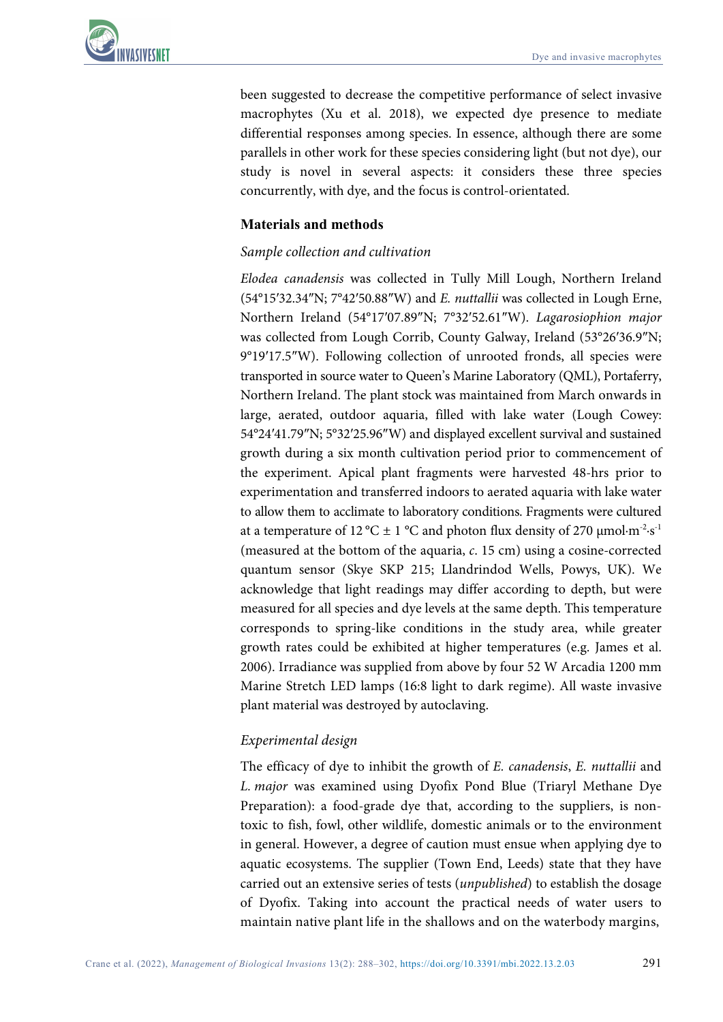

been suggested to decrease the competitive performance of select invasive macrophytes (Xu et al. 2018), we expected dye presence to mediate differential responses among species. In essence, although there are some parallels in other work for these species considering light (but not dye), our study is novel in several aspects: it considers these three species concurrently, with dye, and the focus is control-orientated.

## **Materials and methods**

## *Sample collection and cultivation*

*Elodea canadensis* was collected in Tully Mill Lough, Northern Ireland (54°15′32.34″N; 7°42′50.88″W) and *E. nuttallii* was collected in Lough Erne, Northern Ireland (54°17′07.89″N; 7°32′52.61″W). *Lagarosiophion major*  was collected from Lough Corrib, County Galway, Ireland (53°26′36.9″N; 9°19′17.5″W). Following collection of unrooted fronds, all species were transported in source water to Queen's Marine Laboratory (QML), Portaferry, Northern Ireland. The plant stock was maintained from March onwards in large, aerated, outdoor aquaria, filled with lake water (Lough Cowey: 54°24′41.79″N; 5°32′25.96″W) and displayed excellent survival and sustained growth during a six month cultivation period prior to commencement of the experiment. Apical plant fragments were harvested 48-hrs prior to experimentation and transferred indoors to aerated aquaria with lake water to allow them to acclimate to laboratory conditions. Fragments were cultured at a temperature of 12 °C  $\pm$  1 °C and photon flux density of 270  $\mu$ mol·m<sup>-2</sup>·s<sup>-1</sup> (measured at the bottom of the aquaria, *c*. 15 cm) using a cosine-corrected quantum sensor (Skye SKP 215; Llandrindod Wells, Powys, UK). We acknowledge that light readings may differ according to depth, but were measured for all species and dye levels at the same depth. This temperature corresponds to spring-like conditions in the study area, while greater growth rates could be exhibited at higher temperatures (e.g. James et al. 2006). Irradiance was supplied from above by four 52 W Arcadia 1200 mm Marine Stretch LED lamps (16:8 light to dark regime). All waste invasive plant material was destroyed by autoclaving.

## *Experimental design*

The efficacy of dye to inhibit the growth of *E. canadensis*, *E. nuttallii* and *L. major* was examined using Dyofix Pond Blue (Triaryl Methane Dye Preparation): a food-grade dye that, according to the suppliers, is nontoxic to fish, fowl, other wildlife, domestic animals or to the environment in general. However, a degree of caution must ensue when applying dye to aquatic ecosystems. The supplier (Town End, Leeds) state that they have carried out an extensive series of tests (*unpublished*) to establish the dosage of Dyofix. Taking into account the practical needs of water users to maintain native plant life in the shallows and on the waterbody margins,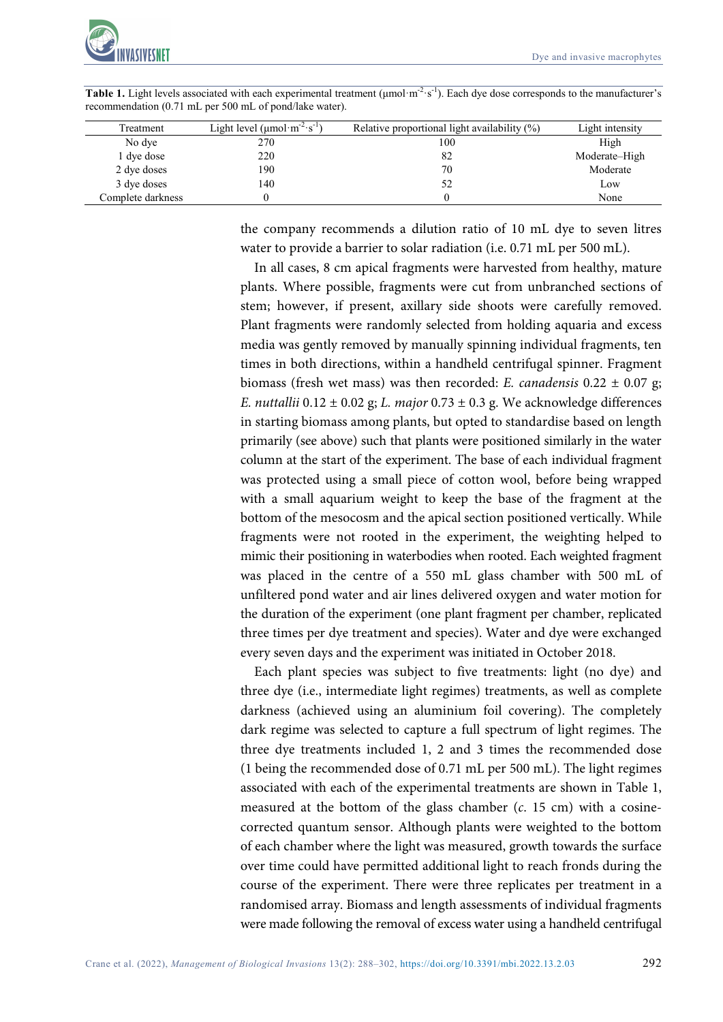

| Treatment         | Light level ( $\mu$ mol·m <sup>-2</sup> ·s <sup>-1</sup> ) | Relative proportional light availability $(\%)$ | Light intensity |
|-------------------|------------------------------------------------------------|-------------------------------------------------|-----------------|
| No dye            | 270                                                        | 100                                             | High            |
| 1 dye dose        | 220                                                        | 82                                              | Moderate–High   |
| 2 dye doses       | 190                                                        | 70                                              | Moderate        |
| 3 dye doses       | l 40                                                       |                                                 | Low             |
| Complete darkness |                                                            |                                                 | None            |

**Table 1.** Light levels associated with each experimental treatment (µmol·m<sup>-2</sup>·s<sup>-1</sup>). Each dye dose corresponds to the manufacturer's recommendation (0.71 mL per 500 mL of pond/lake water).

> the company recommends a dilution ratio of 10 mL dye to seven litres water to provide a barrier to solar radiation (i.e. 0.71 mL per 500 mL).

> In all cases, 8 cm apical fragments were harvested from healthy, mature plants. Where possible, fragments were cut from unbranched sections of stem; however, if present, axillary side shoots were carefully removed. Plant fragments were randomly selected from holding aquaria and excess media was gently removed by manually spinning individual fragments, ten times in both directions, within a handheld centrifugal spinner. Fragment biomass (fresh wet mass) was then recorded: *E. canadensis* 0.22 ± 0.07 g; *E. nuttallii*  $0.12 \pm 0.02$  g; *L. major*  $0.73 \pm 0.3$  g. We acknowledge differences in starting biomass among plants, but opted to standardise based on length primarily (see above) such that plants were positioned similarly in the water column at the start of the experiment. The base of each individual fragment was protected using a small piece of cotton wool, before being wrapped with a small aquarium weight to keep the base of the fragment at the bottom of the mesocosm and the apical section positioned vertically. While fragments were not rooted in the experiment, the weighting helped to mimic their positioning in waterbodies when rooted. Each weighted fragment was placed in the centre of a 550 mL glass chamber with 500 mL of unfiltered pond water and air lines delivered oxygen and water motion for the duration of the experiment (one plant fragment per chamber, replicated three times per dye treatment and species). Water and dye were exchanged every seven days and the experiment was initiated in October 2018.

> Each plant species was subject to five treatments: light (no dye) and three dye (i.e., intermediate light regimes) treatments, as well as complete darkness (achieved using an aluminium foil covering). The completely dark regime was selected to capture a full spectrum of light regimes. The three dye treatments included 1, 2 and 3 times the recommended dose (1 being the recommended dose of 0.71 mL per 500 mL). The light regimes associated with each of the experimental treatments are shown in Table 1, measured at the bottom of the glass chamber (*c*. 15 cm) with a cosinecorrected quantum sensor. Although plants were weighted to the bottom of each chamber where the light was measured, growth towards the surface over time could have permitted additional light to reach fronds during the course of the experiment. There were three replicates per treatment in a randomised array. Biomass and length assessments of individual fragments were made following the removal of excess water using a handheld centrifugal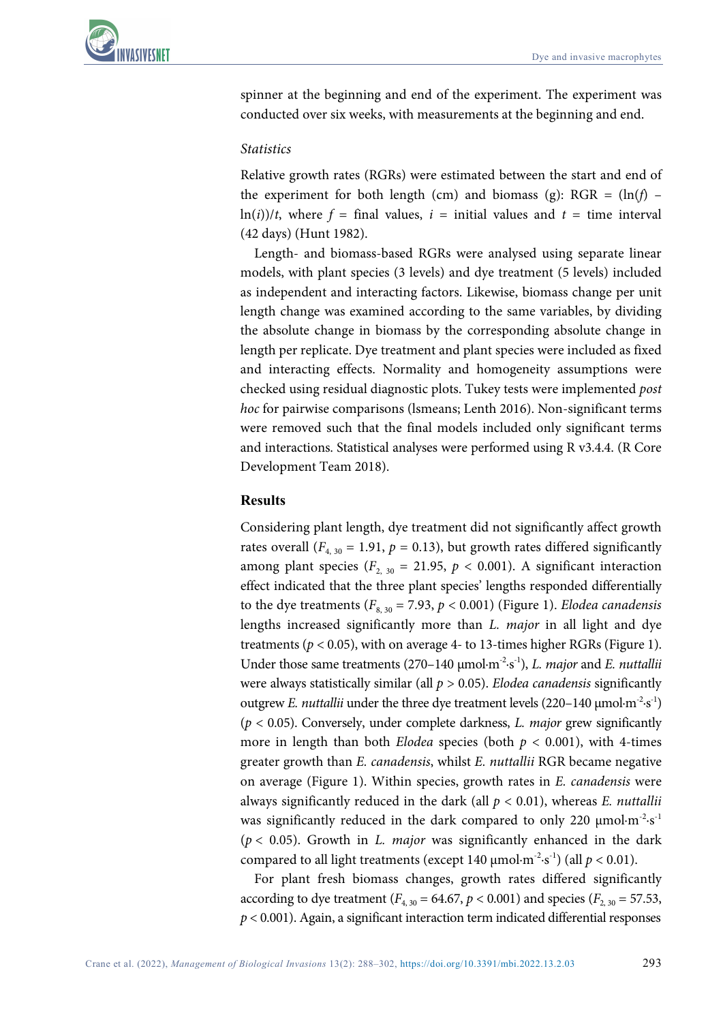spinner at the beginning and end of the experiment. The experiment was conducted over six weeks, with measurements at the beginning and end.

### *Statistics*

Relative growth rates (RGRs) were estimated between the start and end of the experiment for both length (cm) and biomass (g):  $RGR = (ln(f) \ln(i)$ /*t*, where *f* = final values, *i* = initial values and *t* = time interval (42 days) (Hunt 1982).

Length- and biomass-based RGRs were analysed using separate linear models, with plant species (3 levels) and dye treatment (5 levels) included as independent and interacting factors. Likewise, biomass change per unit length change was examined according to the same variables, by dividing the absolute change in biomass by the corresponding absolute change in length per replicate. Dye treatment and plant species were included as fixed and interacting effects. Normality and homogeneity assumptions were checked using residual diagnostic plots. Tukey tests were implemented *post hoc* for pairwise comparisons (lsmeans; Lenth 2016). Non-significant terms were removed such that the final models included only significant terms and interactions. Statistical analyses were performed using R v3.4.4. (R Core Development Team 2018).

## **Results**

Considering plant length, dye treatment did not significantly affect growth rates overall  $(F_{4,30} = 1.91, p = 0.13)$ , but growth rates differed significantly among plant species  $(F_{2, 30} = 21.95, p < 0.001)$ . A significant interaction effect indicated that the three plant species' lengths responded differentially to the dye treatments  $(F_{8,30} = 7.93, p < 0.001)$  (Figure 1). *Elodea canadensis* lengths increased significantly more than *L. major* in all light and dye treatments ( $p < 0.05$ ), with on average 4- to 13-times higher RGRs (Figure 1). Under those same treatments (270–140 μmol·m-2 ·s-1 ), *L. major* and *E. nuttallii* were always statistically similar (all *p* > 0.05). *Elodea canadensis* significantly outgrew *E. nuttallii* under the three dye treatment levels (220-140 μmol·m<sup>-2</sup>·s<sup>-1</sup>) (*p* < 0.05). Conversely, under complete darkness, *L. major* grew significantly more in length than both *Elodea* species (both  $p < 0.001$ ), with 4-times greater growth than *E. canadensis*, whilst *E. nuttallii* RGR became negative on average (Figure 1). Within species, growth rates in *E. canadensis* were always significantly reduced in the dark (all *p* < 0.01), whereas *E. nuttallii* was significantly reduced in the dark compared to only 220  $\mu$ mol·m<sup>-2</sup>·s<sup>-1</sup> (*p* < 0.05). Growth in *L. major* was significantly enhanced in the dark compared to all light treatments (except 140  $\mu$ mol·m<sup>-2</sup>·s<sup>-1</sup>) (all  $p < 0.01$ ).

For plant fresh biomass changes, growth rates differed significantly according to dye treatment ( $F_{4,30}$  = 64.67,  $p$  < 0.001) and species ( $F_{2,30}$  = 57.53, *p* < 0.001). Again, a significant interaction term indicated differential responses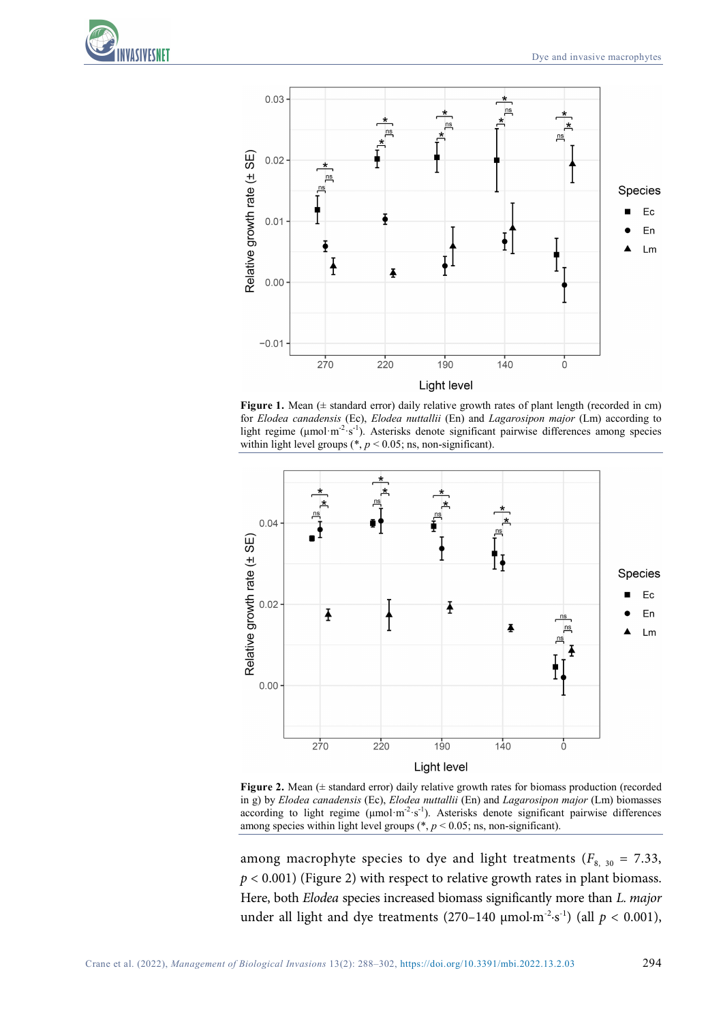



**Figure 1.** Mean (± standard error) daily relative growth rates of plant length (recorded in cm) for *Elodea canadensis* (Ec), *Elodea nuttallii* (En) and *Lagarosipon major* (Lm) according to light regime ( $\mu$ mol·m<sup>-2</sup>·s<sup>-1</sup>). Asterisks denote significant pairwise differences among species within light level groups  $(*, p < 0.05; \text{ns}, \text{non-significant}).$ 



**Figure 2.** Mean (± standard error) daily relative growth rates for biomass production (recorded in g) by *Elodea canadensis* (Ec), *Elodea nuttallii* (En) and *Lagarosipon major* (Lm) biomasses according to light regime  $(\mu \text{mol} \cdot \text{m}^{-2} \cdot \text{s}^{-1})$ . Asterisks denote significant pairwise differences among species within light level groups (\*, *p* < 0.05; ns, non-significant).

among macrophyte species to dye and light treatments ( $F_{8, 30} = 7.33$ ,  $p < 0.001$ ) (Figure 2) with respect to relative growth rates in plant biomass. Here, both *Elodea* species increased biomass significantly more than *L. major* under all light and dye treatments  $(270-140 \text{ }\mu\text{mol}\cdot\text{m}^{-2}\cdot\text{s}^{-1})$  (all  $p < 0.001$ ),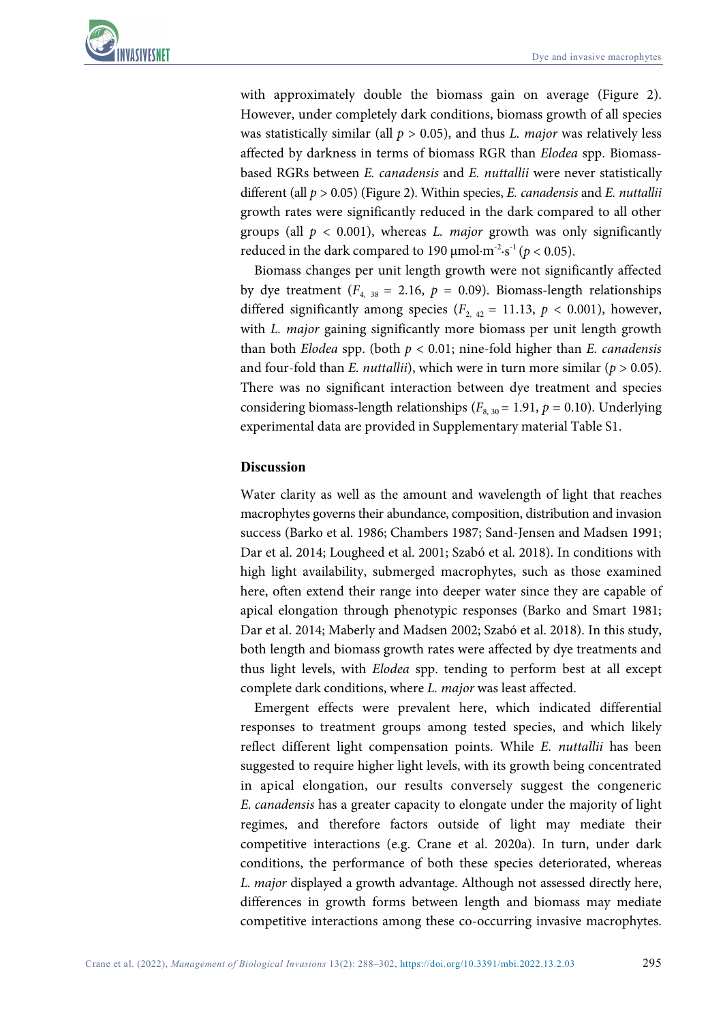

with approximately double the biomass gain on average (Figure 2). However, under completely dark conditions, biomass growth of all species was statistically similar (all *p* > 0.05), and thus *L. major* was relatively less affected by darkness in terms of biomass RGR than *Elodea* spp. Biomassbased RGRs between *E. canadensis* and *E. nuttallii* were never statistically different (all *p* > 0.05) (Figure 2). Within species, *E. canadensis* and *E. nuttallii* growth rates were significantly reduced in the dark compared to all other groups (all *p* < 0.001), whereas *L. major* growth was only significantly reduced in the dark compared to 190  $\mu$ mol·m<sup>-2</sup>·s<sup>-1</sup> ( $p < 0.05$ ).

Biomass changes per unit length growth were not significantly affected by dye treatment  $(F_{4, 38} = 2.16, p = 0.09)$ . Biomass-length relationships differed significantly among species  $(F_{2, 42} = 11.13, p < 0.001)$ , however, with *L. major* gaining significantly more biomass per unit length growth than both *Elodea* spp. (both *p* < 0.01; nine-fold higher than *E. canadensis* and four-fold than *E. nuttallii*), which were in turn more similar (*p* > 0.05). There was no significant interaction between dye treatment and species considering biomass-length relationships ( $F_{8, 30}$  = 1.91,  $p$  = 0.10). Underlying experimental data are provided in Supplementary material Table S1.

### **Discussion**

Water clarity as well as the amount and wavelength of light that reaches macrophytes governs their abundance, composition, distribution and invasion success (Barko et al. 1986; Chambers 1987; Sand-Jensen and Madsen 1991; Dar et al. 2014; Lougheed et al. 2001; Szabó et al. 2018). In conditions with high light availability, submerged macrophytes, such as those examined here, often extend their range into deeper water since they are capable of apical elongation through phenotypic responses (Barko and Smart 1981; Dar et al. 2014; Maberly and Madsen 2002; Szabó et al. 2018). In this study, both length and biomass growth rates were affected by dye treatments and thus light levels, with *Elodea* spp. tending to perform best at all except complete dark conditions, where *L. major* was least affected.

Emergent effects were prevalent here, which indicated differential responses to treatment groups among tested species, and which likely reflect different light compensation points. While *E. nuttallii* has been suggested to require higher light levels, with its growth being concentrated in apical elongation, our results conversely suggest the congeneric *E. canadensis* has a greater capacity to elongate under the majority of light regimes, and therefore factors outside of light may mediate their competitive interactions (e.g. Crane et al. 2020a). In turn, under dark conditions, the performance of both these species deteriorated, whereas *L. major* displayed a growth advantage. Although not assessed directly here, differences in growth forms between length and biomass may mediate competitive interactions among these co-occurring invasive macrophytes.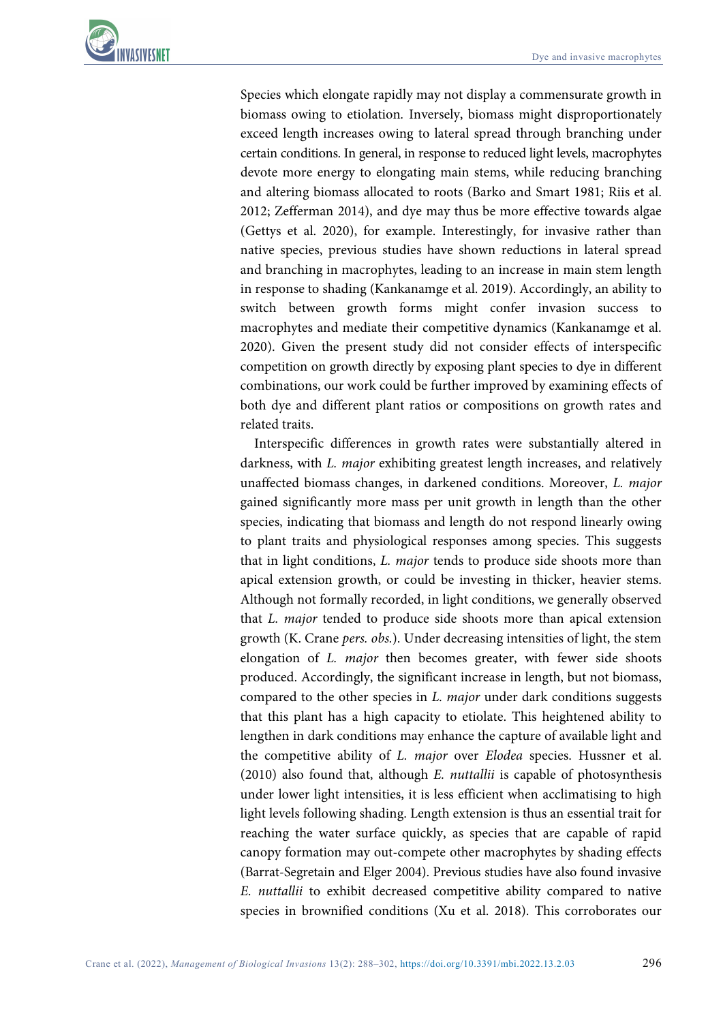

Species which elongate rapidly may not display a commensurate growth in biomass owing to etiolation*.* Inversely, biomass might disproportionately exceed length increases owing to lateral spread through branching under certain conditions. In general, in response to reduced light levels, macrophytes devote more energy to elongating main stems, while reducing branching and altering biomass allocated to roots (Barko and Smart 1981; Riis et al. 2012; Zefferman 2014), and dye may thus be more effective towards algae (Gettys et al. 2020), for example. Interestingly, for invasive rather than native species, previous studies have shown reductions in lateral spread and branching in macrophytes, leading to an increase in main stem length in response to shading (Kankanamge et al. 2019). Accordingly, an ability to switch between growth forms might confer invasion success to macrophytes and mediate their competitive dynamics (Kankanamge et al. 2020). Given the present study did not consider effects of interspecific competition on growth directly by exposing plant species to dye in different combinations, our work could be further improved by examining effects of both dye and different plant ratios or compositions on growth rates and related traits.

Interspecific differences in growth rates were substantially altered in darkness, with *L. major* exhibiting greatest length increases, and relatively unaffected biomass changes, in darkened conditions. Moreover, *L. major* gained significantly more mass per unit growth in length than the other species, indicating that biomass and length do not respond linearly owing to plant traits and physiological responses among species. This suggests that in light conditions, *L. major* tends to produce side shoots more than apical extension growth, or could be investing in thicker, heavier stems. Although not formally recorded, in light conditions, we generally observed that *L. major* tended to produce side shoots more than apical extension growth (K. Crane *pers. obs.*). Under decreasing intensities of light, the stem elongation of *L. major* then becomes greater, with fewer side shoots produced. Accordingly, the significant increase in length, but not biomass, compared to the other species in *L. major* under dark conditions suggests that this plant has a high capacity to etiolate. This heightened ability to lengthen in dark conditions may enhance the capture of available light and the competitive ability of *L. major* over *Elodea* species. Hussner et al. (2010) also found that, although *E. nuttallii* is capable of photosynthesis under lower light intensities, it is less efficient when acclimatising to high light levels following shading. Length extension is thus an essential trait for reaching the water surface quickly, as species that are capable of rapid canopy formation may out-compete other macrophytes by shading effects (Barrat-Segretain and Elger 2004). Previous studies have also found invasive *E. nuttallii* to exhibit decreased competitive ability compared to native species in brownified conditions (Xu et al. 2018). This corroborates our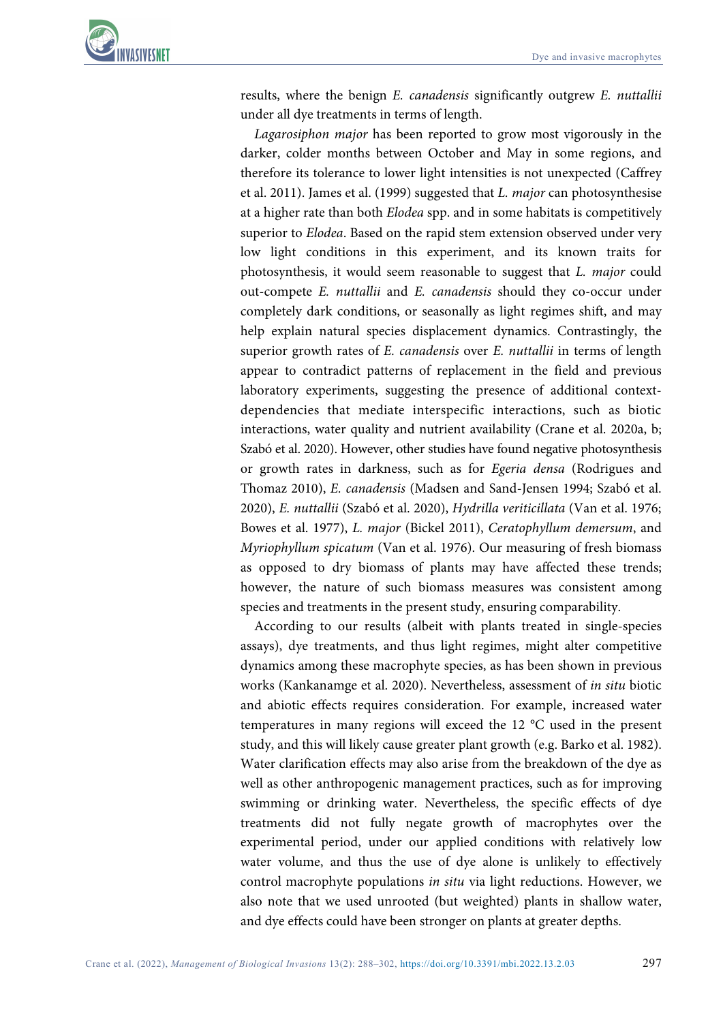

results, where the benign *E. canadensis* significantly outgrew *E. nuttallii* under all dye treatments in terms of length.

*Lagarosiphon major* has been reported to grow most vigorously in the darker, colder months between October and May in some regions, and therefore its tolerance to lower light intensities is not unexpected (Caffrey et al. 2011). James et al. (1999) suggested that *L. major* can photosynthesise at a higher rate than both *Elodea* spp. and in some habitats is competitively superior to *Elodea*. Based on the rapid stem extension observed under very low light conditions in this experiment, and its known traits for photosynthesis, it would seem reasonable to suggest that *L. major* could out-compete *E. nuttallii* and *E. canadensis* should they co-occur under completely dark conditions, or seasonally as light regimes shift, and may help explain natural species displacement dynamics. Contrastingly, the superior growth rates of *E. canadensis* over *E. nuttallii* in terms of length appear to contradict patterns of replacement in the field and previous laboratory experiments, suggesting the presence of additional contextdependencies that mediate interspecific interactions, such as biotic interactions, water quality and nutrient availability (Crane et al. 2020a, b; Szabó et al. 2020). However, other studies have found negative photosynthesis or growth rates in darkness, such as for *Egeria densa* (Rodrigues and Thomaz 2010), *E. canadensis* (Madsen and Sand-Jensen 1994; Szabó et al. 2020), *E. nuttallii* (Szabó et al. 2020), *Hydrilla veriticillata* (Van et al. 1976; Bowes et al. 1977), *L. major* (Bickel 2011), *Ceratophyllum demersum*, and *Myriophyllum spicatum* (Van et al. 1976). Our measuring of fresh biomass as opposed to dry biomass of plants may have affected these trends; however, the nature of such biomass measures was consistent among species and treatments in the present study, ensuring comparability.

According to our results (albeit with plants treated in single-species assays), dye treatments, and thus light regimes, might alter competitive dynamics among these macrophyte species, as has been shown in previous works (Kankanamge et al. 2020). Nevertheless, assessment of *in situ* biotic and abiotic effects requires consideration. For example, increased water temperatures in many regions will exceed the 12 °C used in the present study, and this will likely cause greater plant growth (e.g. Barko et al. 1982). Water clarification effects may also arise from the breakdown of the dye as well as other anthropogenic management practices, such as for improving swimming or drinking water. Nevertheless, the specific effects of dye treatments did not fully negate growth of macrophytes over the experimental period, under our applied conditions with relatively low water volume, and thus the use of dye alone is unlikely to effectively control macrophyte populations *in situ* via light reductions. However, we also note that we used unrooted (but weighted) plants in shallow water, and dye effects could have been stronger on plants at greater depths.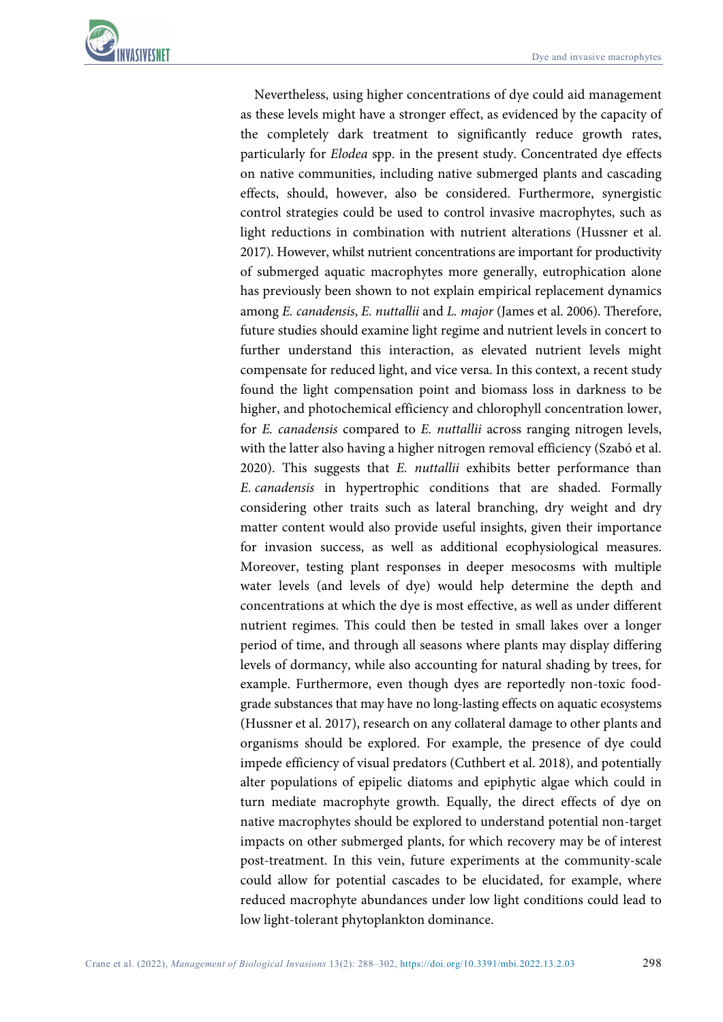

Nevertheless, using higher concentrations of dye could aid management as these levels might have a stronger effect, as evidenced by the capacity of the completely dark treatment to significantly reduce growth rates, particularly for *Elodea* spp. in the present study. Concentrated dye effects on native communities, including native submerged plants and cascading effects, should, however, also be considered. Furthermore, synergistic control strategies could be used to control invasive macrophytes, such as light reductions in combination with nutrient alterations (Hussner et al. 2017). However, whilst nutrient concentrations are important for productivity of submerged aquatic macrophytes more generally, eutrophication alone has previously been shown to not explain empirical replacement dynamics among *E. canadensis*, *E. nuttallii* and *L. major* (James et al. 2006). Therefore, future studies should examine light regime and nutrient levels in concert to further understand this interaction, as elevated nutrient levels might compensate for reduced light, and vice versa. In this context, a recent study found the light compensation point and biomass loss in darkness to be higher, and photochemical efficiency and chlorophyll concentration lower, for *E. canadensis* compared to *E. nuttallii* across ranging nitrogen levels, with the latter also having a higher nitrogen removal efficiency (Szabó et al. 2020). This suggests that *E. nuttallii* exhibits better performance than *E. canadensis* in hypertrophic conditions that are shaded. Formally considering other traits such as lateral branching, dry weight and dry matter content would also provide useful insights, given their importance for invasion success, as well as additional ecophysiological measures. Moreover, testing plant responses in deeper mesocosms with multiple water levels (and levels of dye) would help determine the depth and concentrations at which the dye is most effective, as well as under different nutrient regimes. This could then be tested in small lakes over a longer period of time, and through all seasons where plants may display differing levels of dormancy, while also accounting for natural shading by trees, for example. Furthermore, even though dyes are reportedly non-toxic foodgrade substances that may have no long-lasting effects on aquatic ecosystems (Hussner et al. 2017), research on any collateral damage to other plants and organisms should be explored. For example, the presence of dye could impede efficiency of visual predators (Cuthbert et al. 2018), and potentially alter populations of epipelic diatoms and epiphytic algae which could in turn mediate macrophyte growth. Equally, the direct effects of dye on native macrophytes should be explored to understand potential non-target impacts on other submerged plants, for which recovery may be of interest post-treatment. In this vein, future experiments at the community-scale could allow for potential cascades to be elucidated, for example, where reduced macrophyte abundances under low light conditions could lead to low light-tolerant phytoplankton dominance.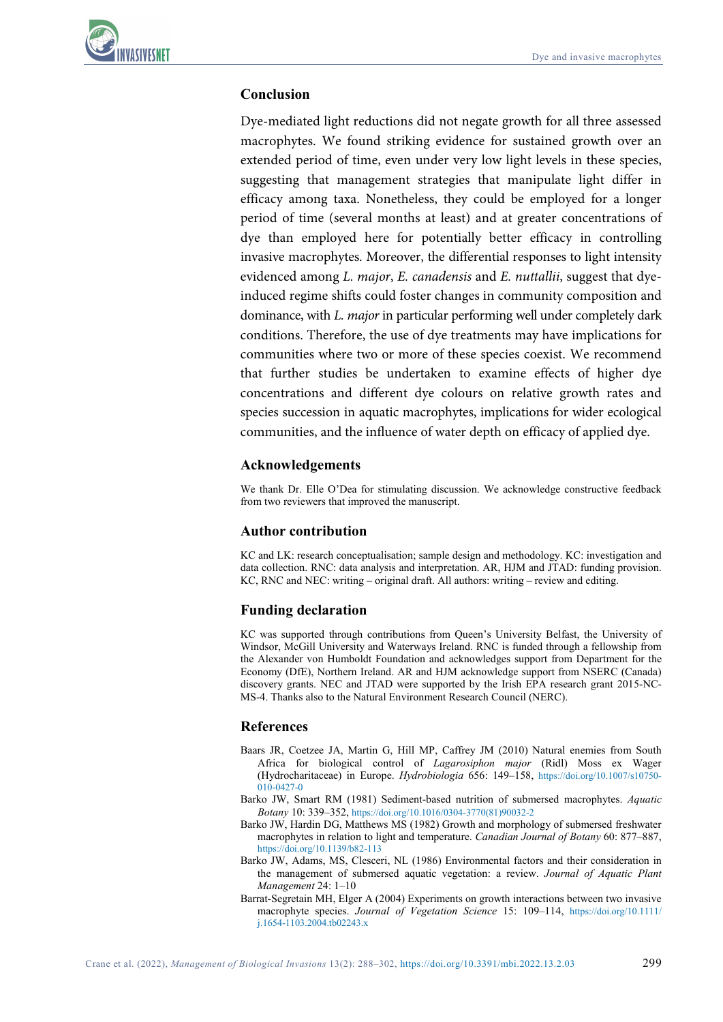

### **Conclusion**

Dye-mediated light reductions did not negate growth for all three assessed macrophytes. We found striking evidence for sustained growth over an extended period of time, even under very low light levels in these species, suggesting that management strategies that manipulate light differ in efficacy among taxa. Nonetheless, they could be employed for a longer period of time (several months at least) and at greater concentrations of dye than employed here for potentially better efficacy in controlling invasive macrophytes. Moreover, the differential responses to light intensity evidenced among *L. major*, *E. canadensis* and *E. nuttallii*, suggest that dyeinduced regime shifts could foster changes in community composition and dominance, with *L. major* in particular performing well under completely dark conditions. Therefore, the use of dye treatments may have implications for communities where two or more of these species coexist. We recommend that further studies be undertaken to examine effects of higher dye concentrations and different dye colours on relative growth rates and species succession in aquatic macrophytes, implications for wider ecological communities, and the influence of water depth on efficacy of applied dye.

#### **Acknowledgements**

We thank Dr. Elle O'Dea for stimulating discussion. We acknowledge constructive feedback from two reviewers that improved the manuscript.

#### **Author contribution**

KC and LK: research conceptualisation; sample design and methodology. KC: investigation and data collection. RNC: data analysis and interpretation. AR, HJM and JTAD: funding provision. KC, RNC and NEC: writing – original draft. All authors: writing – review and editing.

### **Funding declaration**

KC was supported through contributions from Queen's University Belfast, the University of Windsor, McGill University and Waterways Ireland. RNC is funded through a fellowship from the Alexander von Humboldt Foundation and acknowledges support from Department for the Economy (DfE), Northern Ireland. AR and HJM acknowledge support from NSERC (Canada) discovery grants. NEC and JTAD were supported by the Irish EPA research grant 2015-NC-MS-4. Thanks also to the Natural Environment Research Council (NERC).

#### **References**

- Baars JR, Coetzee JA, Martin G, Hill MP, Caffrey JM (2010) Natural enemies from South Africa for biological control of *Lagarosiphon major* (Ridl) Moss ex Wager (Hydrocharitaceae) in Europe. *Hydrobiologia* 656: 149–158, [https://doi.org/10.1007/s10750-](https://doi.org/10.1007/s10750-010-0427-0) [010-0427-0](https://doi.org/10.1007/s10750-010-0427-0)
- Barko JW, Smart RM (1981) Sediment-based nutrition of submersed macrophytes. *Aquatic Botany* 10: 339–352[, https://doi.org/10.1016/0304-3770\(81\)90032-2](https://doi.org/10.1016/0304-3770(81)90032-2)
- Barko JW, Hardin DG, Matthews MS (1982) Growth and morphology of submersed freshwater macrophytes in relation to light and temperature. *Canadian Journal of Botany* 60: 877–887, <https://doi.org/10.1139/b82-113>
- Barko JW, Adams, MS, Clesceri, NL (1986) Environmental factors and their consideration in the management of submersed aquatic vegetation: a review. *Journal of Aquatic Plant Management* 24: 1–10
- Barrat-Segretain MH, Elger A (2004) Experiments on growth interactions between two invasive macrophyte species. *Journal of Vegetation Science* 15: 109–114, [https://doi.org/10.1111/](https://doi.org/10.1111/j.1654-1103.2004.tb02243.x) [j.1654-1103.2004.tb02243.x](https://doi.org/10.1111/j.1654-1103.2004.tb02243.x)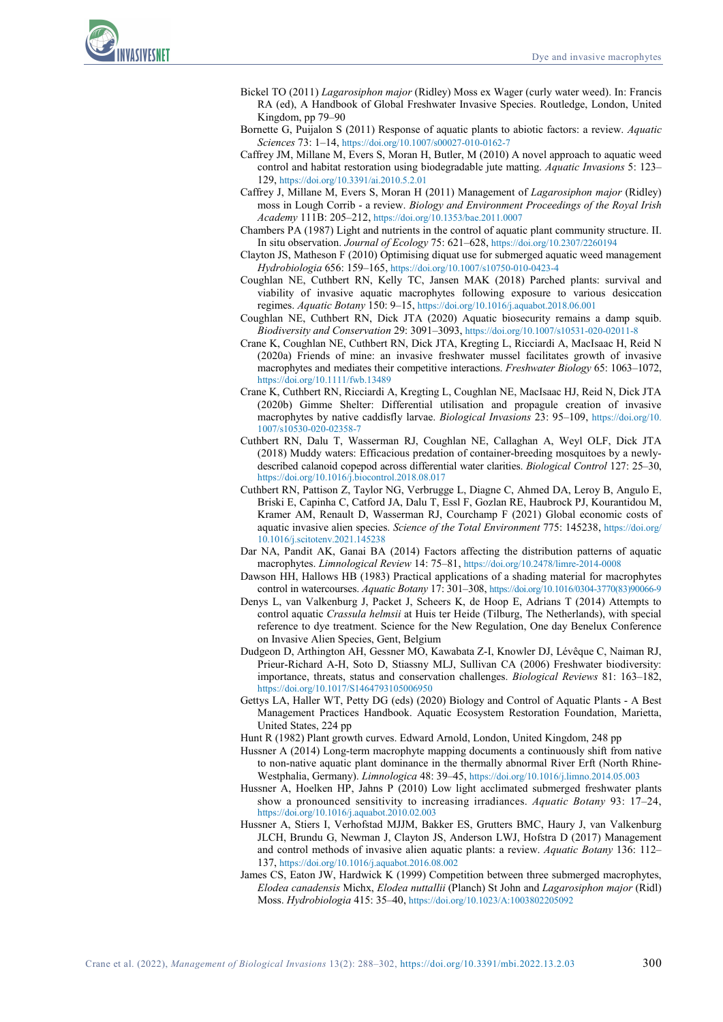- Bickel TO (2011) *Lagarosiphon major* (Ridley) Moss ex Wager (curly water weed). In: Francis RA (ed), A Handbook of Global Freshwater Invasive Species. Routledge, London, United Kingdom, pp 79–90
- Bornette G, Puijalon S (2011) Response of aquatic plants to abiotic factors: a review. *Aquatic Sciences* 73: 1–14[, https://doi.org/10.1007/s00027-010-0162-7](https://doi.org/10.1007/s00027-010-0162-7)
- Caffrey JM, Millane M, Evers S, Moran H, Butler, M (2010) A novel approach to aquatic weed control and habitat restoration using biodegradable jute matting. *Aquatic Invasions* 5: 123– 129,<https://doi.org/10.3391/ai.2010.5.2.01>
- Caffrey J, Millane M, Evers S, Moran H (2011) Management of *Lagarosiphon major* (Ridley) moss in Lough Corrib - a review. *Biology and Environment Proceedings of the Royal Irish Academy* 111B: 205–212[, https://doi.org/10.1353/bae.2011.0007](https://doi.org/10.1353/bae.2011.0007)
- Chambers PA (1987) Light and nutrients in the control of aquatic plant community structure. II. In situ observation. *Journal of Ecology* 75: 621–628[, https://doi.org/10.2307/2260194](https://doi.org/10.2307/2260194)
- Clayton JS, Matheson F (2010) Optimising diquat use for submerged aquatic weed management *Hydrobiologia* 656: 159–165[, https://doi.org/10.1007/s10750-010-0423-4](https://doi.org/10.1007/s10750-010-0423-4)
- Coughlan NE, Cuthbert RN, Kelly TC, Jansen MAK (2018) Parched plants: survival and viability of invasive aquatic macrophytes following exposure to various desiccation regimes. *Aquatic Botany* 150: 9–15,<https://doi.org/10.1016/j.aquabot.2018.06.001>
- Coughlan NE, Cuthbert RN, Dick JTA (2020) Aquatic biosecurity remains a damp squib. *Biodiversity and Conservation* 29: 3091–3093,<https://doi.org/10.1007/s10531-020-02011-8>
- Crane K, Coughlan NE, Cuthbert RN, Dick JTA, Kregting L, Ricciardi A, MacIsaac H, Reid N (2020a) Friends of mine: an invasive freshwater mussel facilitates growth of invasive macrophytes and mediates their competitive interactions. *Freshwater Biology* 65: 1063–1072, <https://doi.org/10.1111/fwb.13489>
- Crane K, Cuthbert RN, Ricciardi A, Kregting L, Coughlan NE, MacIsaac HJ, Reid N, Dick JTA (2020b) Gimme Shelter: Differential utilisation and propagule creation of invasive macrophytes by native caddisfly larvae. *Biological Invasions* 23: 95–109, [https://doi.org/10.](https://doi.org/10.1007/s10530-020-02358-7) [1007/s10530-020-02358-7](https://doi.org/10.1007/s10530-020-02358-7)
- Cuthbert RN, Dalu T, Wasserman RJ, Coughlan NE, Callaghan A, Weyl OLF, Dick JTA (2018) Muddy waters: Efficacious predation of container-breeding mosquitoes by a newlydescribed calanoid copepod across differential water clarities. *Biological Control* 127: 25–30, <https://doi.org/10.1016/j.biocontrol.2018.08.017>
- Cuthbert RN, Pattison Z, Taylor NG, Verbrugge L, Diagne C, Ahmed DA, Leroy B, Angulo E, Briski E, Capinha C, Catford JA, Dalu T, Essl F, Gozlan RE, Haubrock PJ, Kourantidou M, Kramer AM, Renault D, Wasserman RJ, Courchamp F (2021) Global economic costs of aquatic invasive alien species. *Science of the Total Environment* 775: 145238[, https://doi.org/](https://doi.org/10.1016/j.scitotenv.2021.145238) [10.1016/j.scitotenv.2021.145238](https://doi.org/10.1016/j.scitotenv.2021.145238)
- Dar NA, Pandit AK, Ganai BA (2014) Factors affecting the distribution patterns of aquatic macrophytes. *Limnological Review* 14: 75–81,<https://doi.org/10.2478/limre-2014-0008>
- Dawson HH, Hallows HB (1983) Practical applications of a shading material for macrophytes control in watercourses. *Aquatic Botany* 17: 301–308[, https://doi.org/10.1016/0304-3770\(83\)90066-9](https://doi.org/10.1016/0304-3770(83)90066-9)
- Denys L, van Valkenburg J, Packet J, Scheers K, de Hoop E, Adrians T (2014) Attempts to control aquatic *Crassula helmsii* at Huis ter Heide (Tilburg, The Netherlands), with special reference to dye treatment. Science for the New Regulation, One day Benelux Conference on Invasive Alien Species, Gent, Belgium
- Dudgeon D, Arthington AH, Gessner MO, Kawabata Z-I, Knowler DJ, Lévêque C, Naiman RJ, Prieur-Richard A-H, Soto D, Stiassny MLJ, Sullivan CA (2006) Freshwater biodiversity: importance, threats, status and conservation challenges. *Biological Reviews* 81: 163–182, <https://doi.org/10.1017/S1464793105006950>
- Gettys LA, Haller WT, Petty DG (eds) (2020) Biology and Control of Aquatic Plants A Best Management Practices Handbook. Aquatic Ecosystem Restoration Foundation, Marietta, United States, 224 pp
- Hunt R (1982) Plant growth curves. Edward Arnold, London, United Kingdom, 248 pp
- Hussner A (2014) Long-term macrophyte mapping documents a continuously shift from native to non-native aquatic plant dominance in the thermally abnormal River Erft (North Rhine-Westphalia, Germany). *Limnologica* 48: 39–45[, https://doi.org/10.1016/j.limno.2014.05.003](https://doi.org/10.1016/j.limno.2014.05.003)
- Hussner A, Hoelken HP, Jahns P (2010) Low light acclimated submerged freshwater plants show a pronounced sensitivity to increasing irradiances. *Aquatic Botany* 93: 17–24, <https://doi.org/10.1016/j.aquabot.2010.02.003>
- Hussner A, Stiers I, Verhofstad MJJM, Bakker ES, Grutters BMC, Haury J, van Valkenburg JLCH, Brundu G, Newman J, Clayton JS, Anderson LWJ, Hofstra D (2017) Management and control methods of invasive alien aquatic plants: a review. *Aquatic Botany* 136: 112– 137,<https://doi.org/10.1016/j.aquabot.2016.08.002>
- James CS, Eaton JW, Hardwick K (1999) Competition between three submerged macrophytes, *Elodea canadensis* Michx, *Elodea nuttallii* (Planch) St John and *Lagarosiphon major* (Ridl) Moss. *Hydrobiologia* 415: 35–40[, https://doi.org/10.1023/A:1003802205092](https://doi.org/10.1023/A:1003802205092)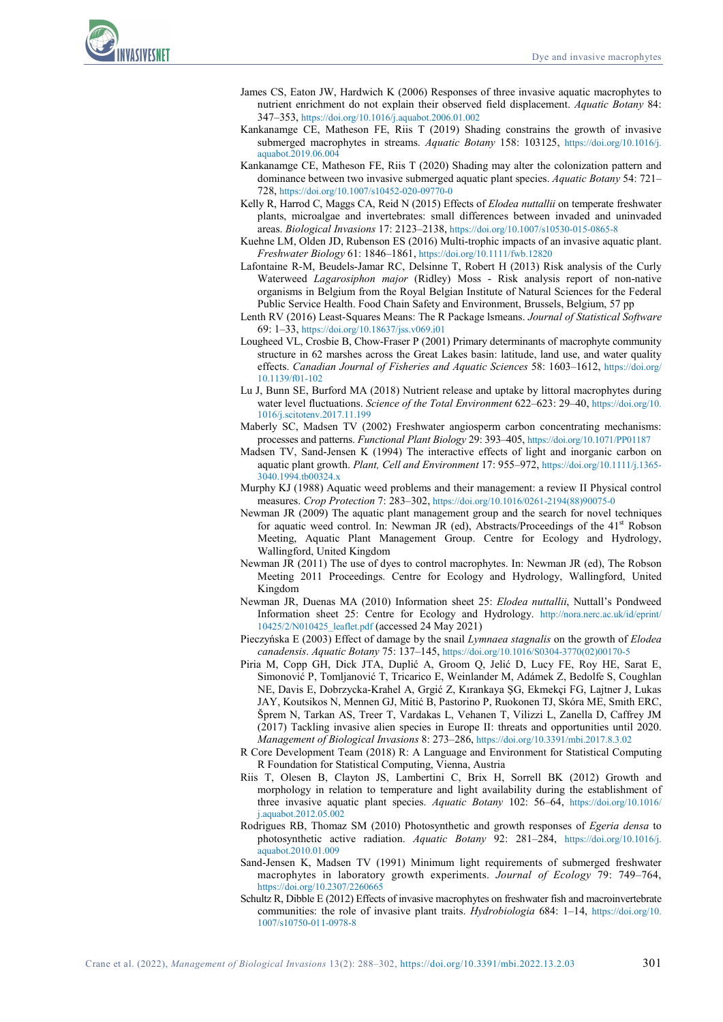- James CS, Eaton JW, Hardwich K (2006) Responses of three invasive aquatic macrophytes to nutrient enrichment do not explain their observed field displacement. *Aquatic Botany* 84: 347–353,<https://doi.org/10.1016/j.aquabot.2006.01.002>
- Kankanamge CE, Matheson FE, Riis T (2019) Shading constrains the growth of invasive submerged macrophytes in streams. *Aquatic Botany* 158: 103125, [https://doi.org/10.1016/j.](https://doi.org/10.1016/j.aquabot.2019.06.004) [aquabot.2019.06.004](https://doi.org/10.1016/j.aquabot.2019.06.004)
- Kankanamge CE, Matheson FE, Riis T (2020) Shading may alter the colonization pattern and dominance between two invasive submerged aquatic plant species. *Aquatic Botany* 54: 721– 728,<https://doi.org/10.1007/s10452-020-09770-0>
- Kelly R, Harrod C, Maggs CA, Reid N (2015) Effects of *Elodea nuttallii* on temperate freshwater plants, microalgae and invertebrates: small differences between invaded and uninvaded areas. *Biological Invasions* 17: 2123–2138[, https://doi.org/10.1007/s10530-015-0865-8](https://doi.org/10.1007/s10530-015-0865-8)
- Kuehne LM, Olden JD, Rubenson ES (2016) Multi-trophic impacts of an invasive aquatic plant. *Freshwater Biology* 61: 1846–1861,<https://doi.org/10.1111/fwb.12820>
- Lafontaine R-M, Beudels-Jamar RC, Delsinne T, Robert H (2013) Risk analysis of the Curly Waterweed *Lagarosiphon major* (Ridley) Moss - Risk analysis report of non-native organisms in Belgium from the Royal Belgian Institute of Natural Sciences for the Federal Public Service Health. Food Chain Safety and Environment, Brussels, Belgium, 57 pp
- Lenth RV (2016) Least-Squares Means: The R Package lsmeans. *Journal of Statistical Software* 69: 1–33[, https://doi.org/10.18637/jss.v069.i01](https://doi.org/10.18637/jss.v069.i01)
- Lougheed VL, Crosbie B, Chow-Fraser P (2001) Primary determinants of macrophyte community structure in 62 marshes across the Great Lakes basin: latitude, land use, and water quality effects. *Canadian Journal of Fisheries and Aquatic Sciences* 58: 1603–1612, [https://doi.org/](https://doi.org/10.1139/f01-102) [10.1139/f01-102](https://doi.org/10.1139/f01-102)
- Lu J, Bunn SE, Burford MA (2018) Nutrient release and uptake by littoral macrophytes during water level fluctuations. *Science of the Total Environment* 622–623: 29–40[, https://doi.org/10.](https://doi.org/10.1016/j.scitotenv.2017.11.199) [1016/j.scitotenv.2017.11.199](https://doi.org/10.1016/j.scitotenv.2017.11.199)
- Maberly SC, Madsen TV (2002) Freshwater angiosperm carbon concentrating mechanisms: processes and patterns. *Functional Plant Biology* 29: 393–405[, https://doi.org/10.1071/PP01187](https://doi.org/10.1071/PP01187)
- Madsen TV, Sand-Jensen K (1994) The interactive effects of light and inorganic carbon on aquatic plant growth. *Plant, Cell and Environment* 17: 955–972[, https://doi.org/10.1111/j.1365-](https://doi.org/10.1111/j.1365-3040.1994.tb00324.x) [3040.1994.tb00324.x](https://doi.org/10.1111/j.1365-3040.1994.tb00324.x)
- Murphy KJ (1988) Aquatic weed problems and their management: a review II Physical control measures. *Crop Protection* 7: 283–302[, https://doi.org/10.1016/0261-2194\(88\)90075-0](https://doi.org/10.1016/0261-2194(88)90075-0)
- Newman JR (2009) The aquatic plant management group and the search for novel techniques for aquatic weed control. In: Newman JR (ed), Abstracts/Proceedings of the 41<sup>st</sup> Robson Meeting, Aquatic Plant Management Group. Centre for Ecology and Hydrology, Wallingford, United Kingdom
- Newman JR (2011) The use of dyes to control macrophytes. In: Newman JR (ed), The Robson Meeting 2011 Proceedings. Centre for Ecology and Hydrology, Wallingford, United Kingdom
- Newman JR, Duenas MA (2010) Information sheet 25: *Elodea nuttallii*, Nuttall's Pondweed Information sheet 25: Centre for Ecology and Hydrology. [http://nora.nerc.ac.uk/id/eprint/](http://nora.nerc.ac.uk/id/eprint/10425/2/N010425_leaflet.pdf) [10425/2/N010425\\_leaflet.pdf](http://nora.nerc.ac.uk/id/eprint/10425/2/N010425_leaflet.pdf) (accessed 24 May 2021)
- Pieczyńska E (2003) Effect of damage by the snail *Lymnaea stagnalis* on the growth of *Elodea canadensis*. *Aquatic Botany* 75: 137–145[, https://doi.org/10.1016/S0304-3770\(02\)00170-5](https://doi.org/10.1016/S0304-3770(02)00170-5)
- Piria M, Copp GH, Dick JTA, Duplić A, Groom Q, Jelić D, Lucy FE, Roy HE, Sarat E, Simonović P, Tomljanović T, Tricarico E, Weinlander M, Adámek Z, Bedolfe S, Coughlan NE, Davis E, Dobrzycka-Krahel A, Grgić Z, Kırankaya ŞG, Ekmekçi FG, Lajtner J, Lukas JAY, Koutsikos N, Mennen GJ, Mitić B, Pastorino P, Ruokonen TJ, Skóra ME, Smith ERC, Šprem N, Tarkan AS, Treer T, Vardakas L, Vehanen T, Vilizzi L, Zanella D, Caffrey JM (2017) Tackling invasive alien species in Europe II: threats and opportunities until 2020. *Management of Biological Invasions* 8: 273–286[, https://doi.org/10.3391/mbi.2017.8.3.02](https://doi.org/10.3391/mbi.2017.8.3.02)
- R Core Development Team (2018) R: A Language and Environment for Statistical Computing R Foundation for Statistical Computing, Vienna, Austria
- Riis T, Olesen B, Clayton JS, Lambertini C, Brix H, Sorrell BK (2012) Growth and morphology in relation to temperature and light availability during the establishment of three invasive aquatic plant species. *Aquatic Botany* 102: 56–64, [https://doi.org/10.1016/](https://doi.org/10.1016/j.aquabot.2012.05.002) [j.aquabot.2012.05.002](https://doi.org/10.1016/j.aquabot.2012.05.002)
- Rodrigues RB, Thomaz SM (2010) Photosynthetic and growth responses of *Egeria densa* to photosynthetic active radiation. *Aquatic Botany* 92: 281–284, [https://doi.org/10.1016/j.](https://doi.org/10.1016/j.aquabot.2010.01.009) [aquabot.2010.01.009](https://doi.org/10.1016/j.aquabot.2010.01.009)
- Sand-Jensen K, Madsen TV (1991) Minimum light requirements of submerged freshwater macrophytes in laboratory growth experiments. *Journal of Ecology* 79: 749–764, <https://doi.org/10.2307/2260665>
- Schultz R, Dibble E (2012) Effects of invasive macrophytes on freshwater fish and macroinvertebrate communities: the role of invasive plant traits. *Hydrobiologia* 684: 1–14, [https://doi.org/10.](https://doi.org/10.1007/s10750-011-0978-8) [1007/s10750-011-0978-8](https://doi.org/10.1007/s10750-011-0978-8)